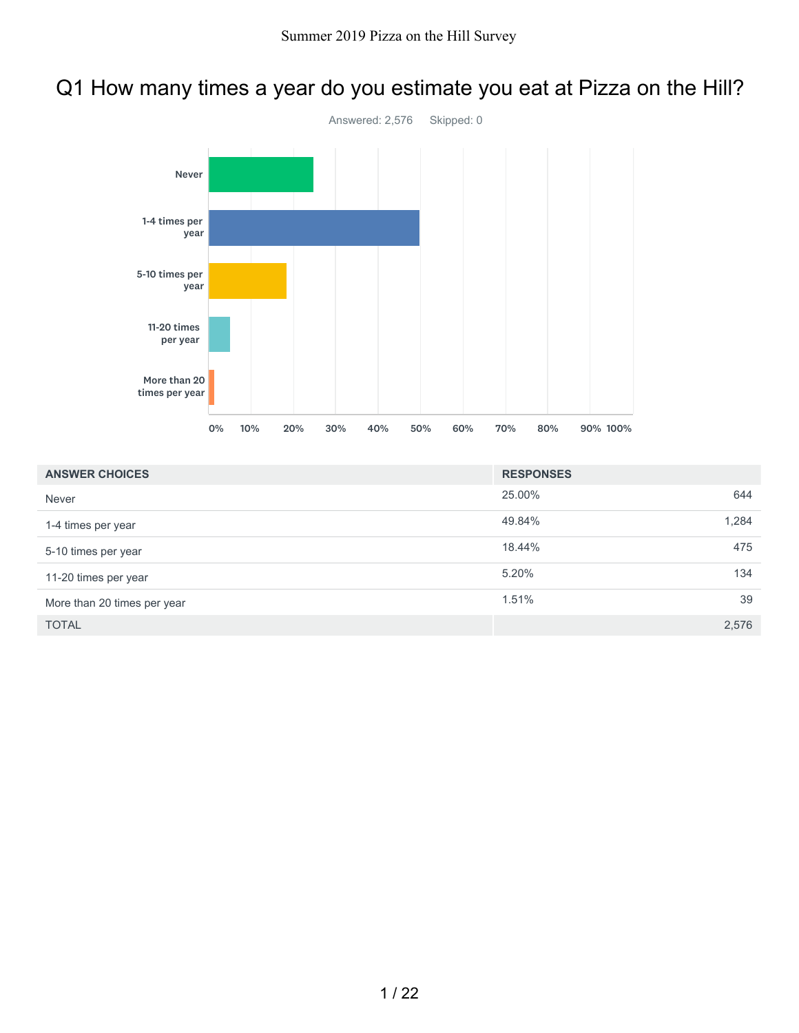## Q1 How many times a year do you estimate you eat at Pizza on the Hill?



| <b>ANSWER CHOICES</b>       | <b>RESPONSES</b> |       |
|-----------------------------|------------------|-------|
| Never                       | 25.00%           | 644   |
| 1-4 times per year          | 49.84%           | 1,284 |
| 5-10 times per year         | 18.44%           | 475   |
| 11-20 times per year        | 5.20%            | 134   |
| More than 20 times per year | 1.51%            | 39    |
| <b>TOTAL</b>                |                  | 2,576 |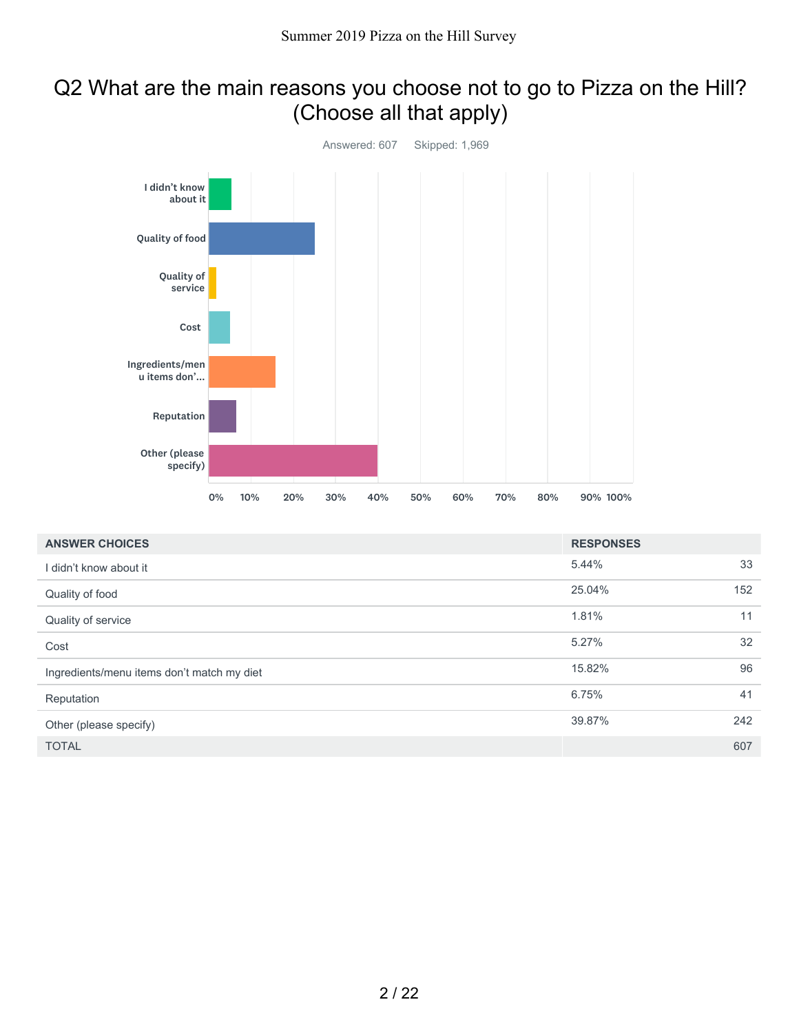## Q2 What are the main reasons you choose not to go to Pizza on the Hill? (Choose all that apply)



| <b>ANSWER CHOICES</b>                      | <b>RESPONSES</b> |     |
|--------------------------------------------|------------------|-----|
| I didn't know about it                     | 5.44%            | 33  |
| Quality of food                            | 25.04%           | 152 |
| Quality of service                         | 1.81%            | 11  |
| Cost                                       | 5.27%            | 32  |
| Ingredients/menu items don't match my diet | 15.82%           | 96  |
| Reputation                                 | 6.75%            | 41  |
| Other (please specify)                     | 39.87%           | 242 |
| <b>TOTAL</b>                               |                  | 607 |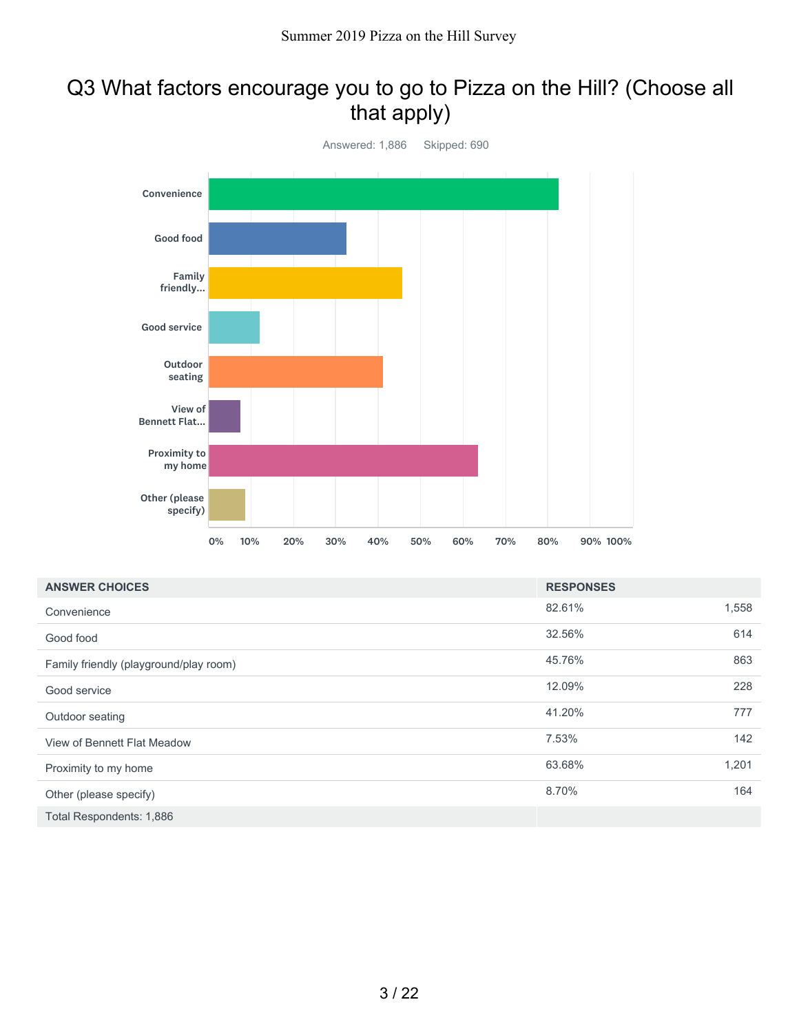### Q3 What factors encourage you to go to Pizza on the Hill? (Choose all that apply)



| <b>ANSWER CHOICES</b>                  | <b>RESPONSES</b> |       |
|----------------------------------------|------------------|-------|
| Convenience                            | 82.61%           | 1,558 |
| Good food                              | 32.56%           | 614   |
| Family friendly (playground/play room) | 45.76%           | 863   |
| Good service                           | 12.09%           | 228   |
| Outdoor seating                        | 41.20%           | 777   |
| View of Bennett Flat Meadow            | 7.53%            | 142   |
| Proximity to my home                   | 63.68%           | 1,201 |
| Other (please specify)                 | 8.70%            | 164   |
| Total Respondents: 1,886               |                  |       |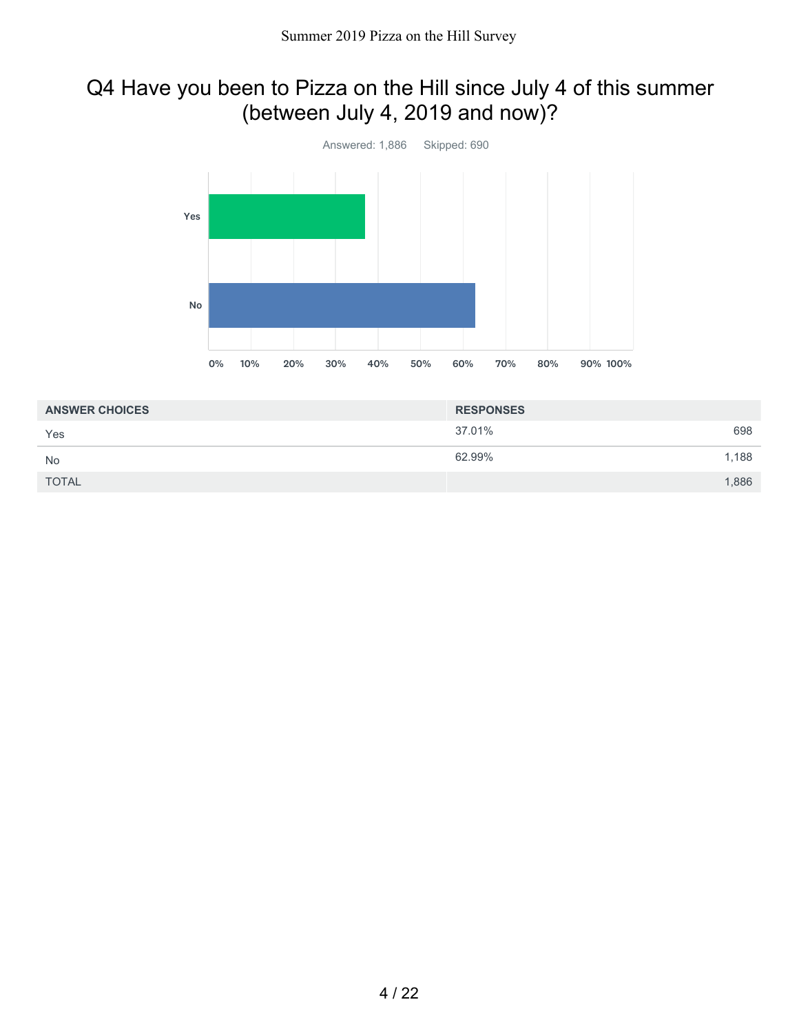## Q4 Have you been to Pizza on the Hill since July 4 of this summer (between July 4, 2019 and now)?



| <b>ANSWER CHOICES</b> | <b>RESPONSES</b> |       |
|-----------------------|------------------|-------|
| Yes                   | 37.01%           | 698   |
| <b>No</b>             | 62.99%           | 1,188 |
| <b>TOTAL</b>          |                  | 1,886 |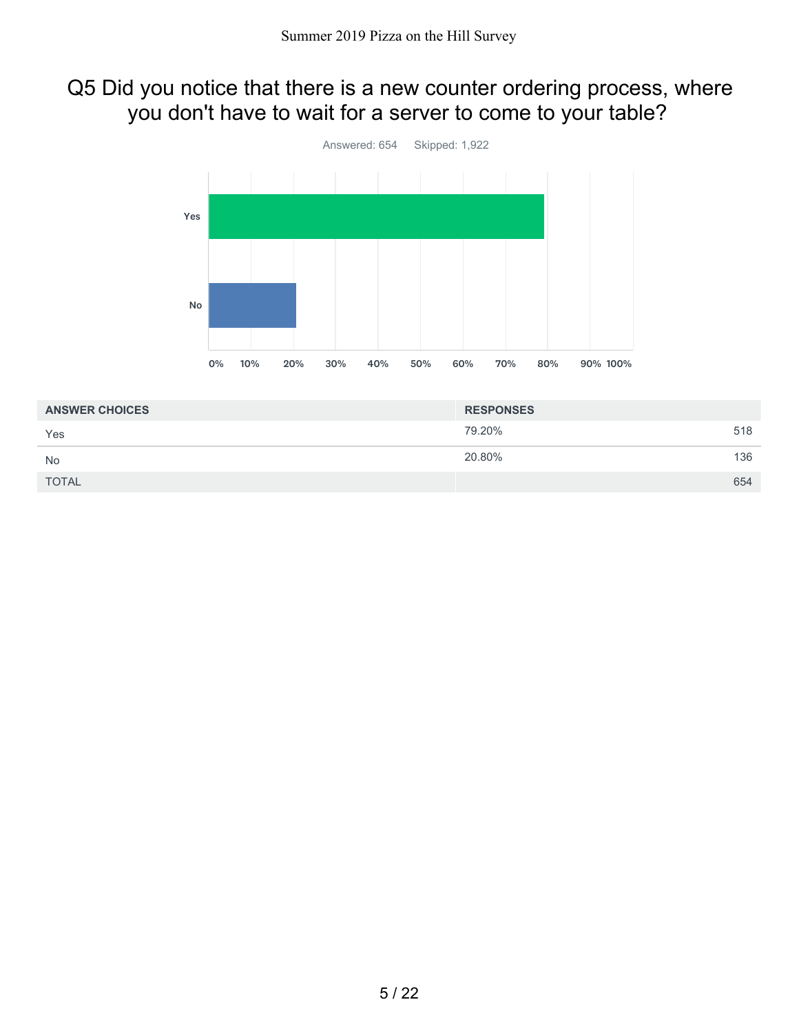#### Q5 Did you notice that there is a new counter ordering process, where you don't have to wait for a server to come to your table?



| <b>ANSWER CHOICES</b> | <b>RESPONSES</b> |     |
|-----------------------|------------------|-----|
| Yes                   | 79.20%           | 518 |
| <b>No</b>             | 20.80%           | 136 |
| <b>TOTAL</b>          |                  | 654 |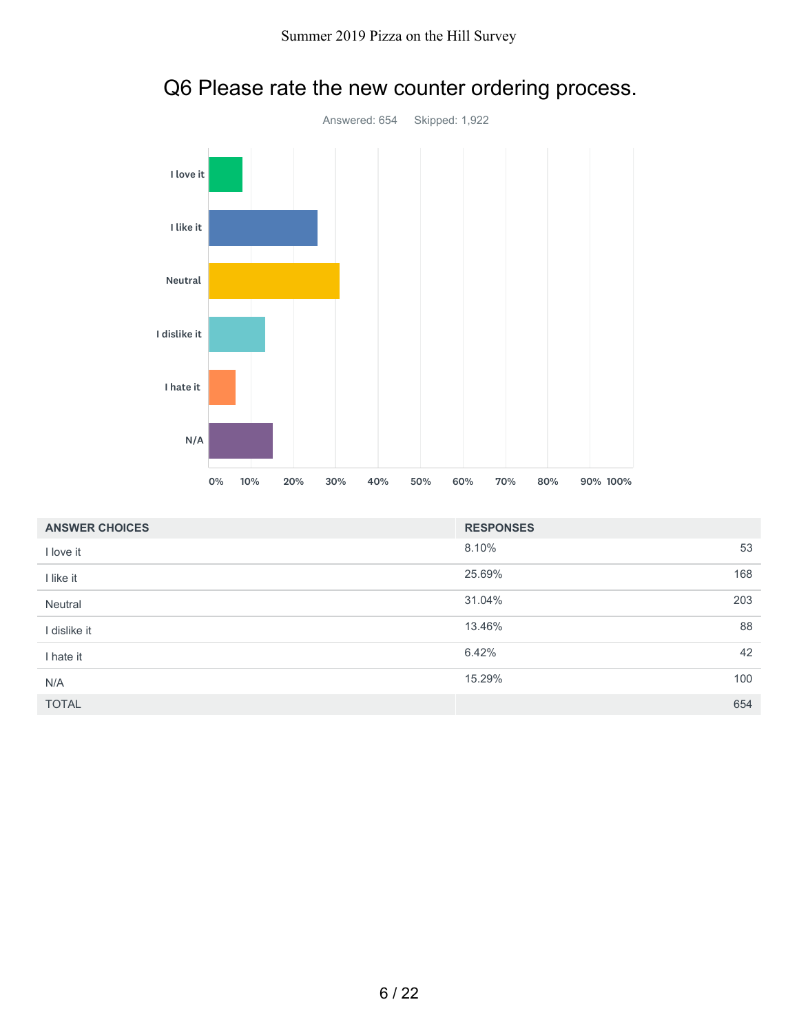

# Q6 Please rate the new counter ordering process.

| <b>ANSWER CHOICES</b> | <b>RESPONSES</b> |     |
|-----------------------|------------------|-----|
| I love it             | 8.10%            | 53  |
| I like it             | 25.69%           | 168 |
| Neutral               | 31.04%           | 203 |
| l dislike it          | 13.46%           | 88  |
| I hate it             | 6.42%            | 42  |
| N/A                   | 15.29%           | 100 |
| <b>TOTAL</b>          |                  | 654 |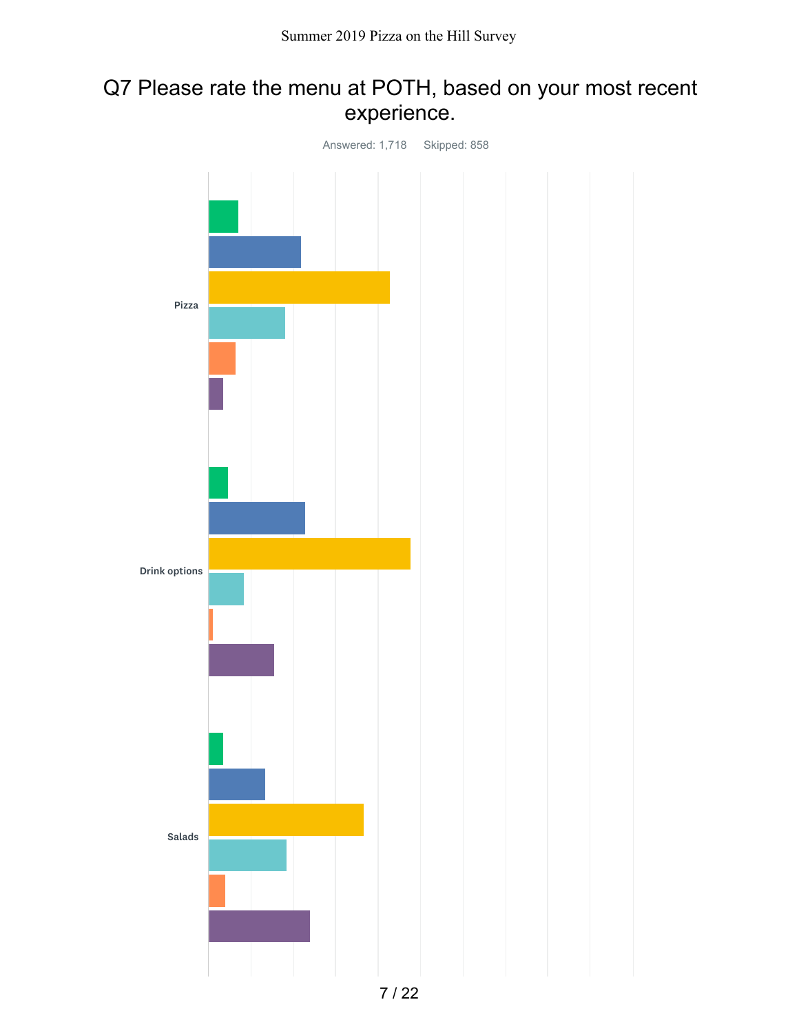#### Q7 Please rate the menu at POTH, based on your most recent experience.

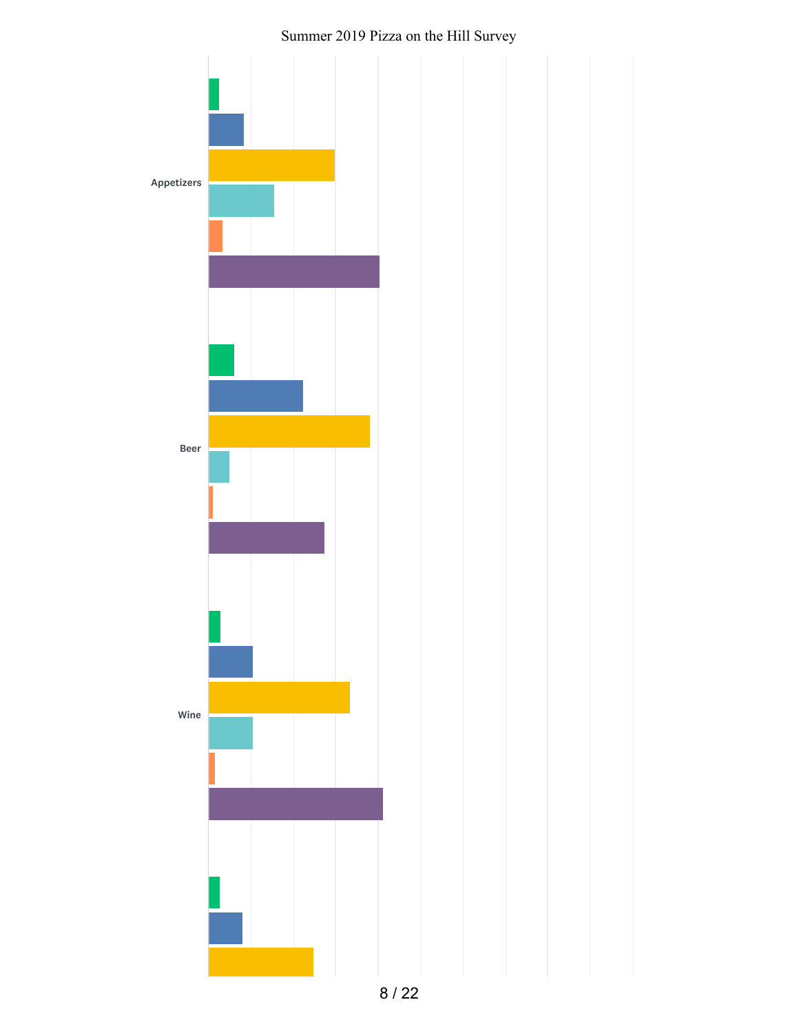

#### Summer 2019 Pizza on the Hill Survey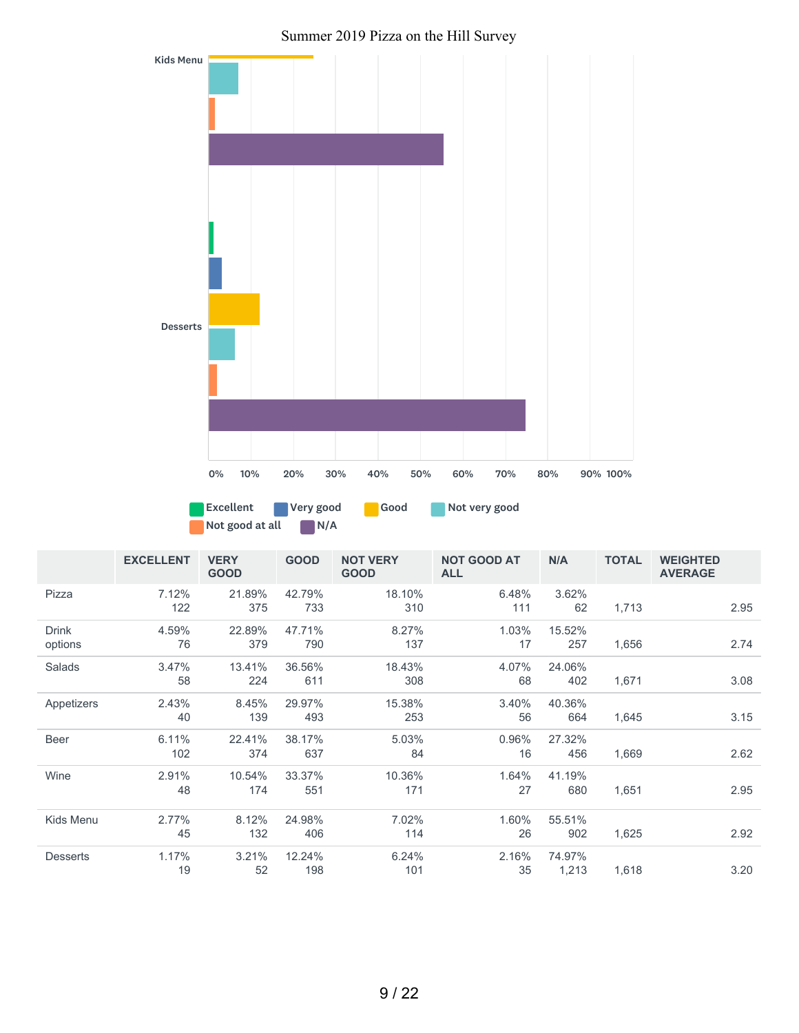#### Summer 2019 Pizza on the Hill Survey



Not good at all N/A

|                         | <b>EXCELLENT</b> | <b>VERY</b><br><b>GOOD</b> | <b>GOOD</b>   | <b>NOT VERY</b><br><b>GOOD</b> | <b>NOT GOOD AT</b><br><b>ALL</b> | N/A             | <b>TOTAL</b> | <b>WEIGHTED</b><br><b>AVERAGE</b> |
|-------------------------|------------------|----------------------------|---------------|--------------------------------|----------------------------------|-----------------|--------------|-----------------------------------|
| Pizza                   | 7.12%<br>122     | 21.89%<br>375              | 42.79%<br>733 | 18.10%<br>310                  | 6.48%<br>111                     | 3.62%<br>62     | 1,713        | 2.95                              |
| <b>Drink</b><br>options | 4.59%<br>76      | 22.89%<br>379              | 47.71%<br>790 | 8.27%<br>137                   | 1.03%<br>17                      | 15.52%<br>257   | 1,656        | 2.74                              |
| Salads                  | 3.47%<br>58      | 13.41%<br>224              | 36.56%<br>611 | 18.43%<br>308                  | 4.07%<br>68                      | 24.06%<br>402   | 1,671        | 3.08                              |
| Appetizers              | 2.43%<br>40      | 8.45%<br>139               | 29.97%<br>493 | 15.38%<br>253                  | 3.40%<br>56                      | 40.36%<br>664   | 1,645        | 3.15                              |
| Beer                    | 6.11%<br>102     | 22.41%<br>374              | 38.17%<br>637 | 5.03%<br>84                    | 0.96%<br>16                      | 27.32%<br>456   | 1,669        | 2.62                              |
| Wine                    | 2.91%<br>48      | 10.54%<br>174              | 33.37%<br>551 | 10.36%<br>171                  | 1.64%<br>27                      | 41.19%<br>680   | 1,651        | 2.95                              |
| Kids Menu               | 2.77%<br>45      | 8.12%<br>132               | 24.98%<br>406 | 7.02%<br>114                   | 1.60%<br>26                      | 55.51%<br>902   | 1,625        | 2.92                              |
| <b>Desserts</b>         | 1.17%<br>19      | 3.21%<br>52                | 12.24%<br>198 | 6.24%<br>101                   | 2.16%<br>35                      | 74.97%<br>1,213 | 1,618        | 3.20                              |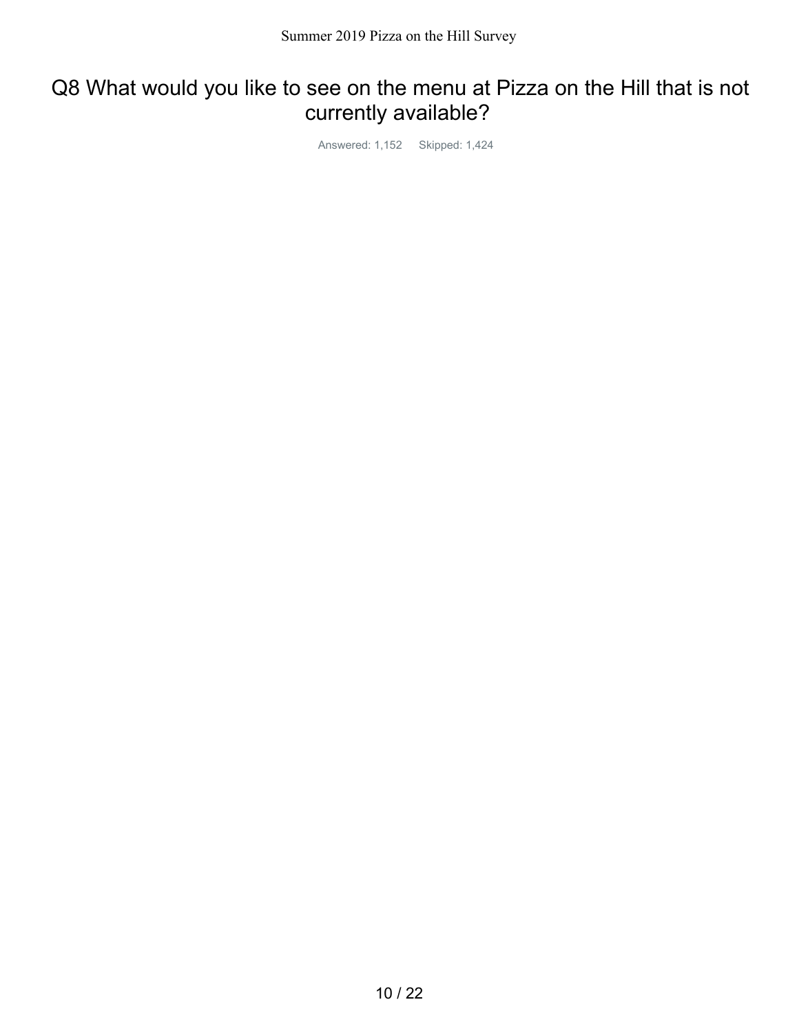#### Q8 What would you like to see on the menu at Pizza on the Hill that is not currently available?

Answered: 1,152 Skipped: 1,424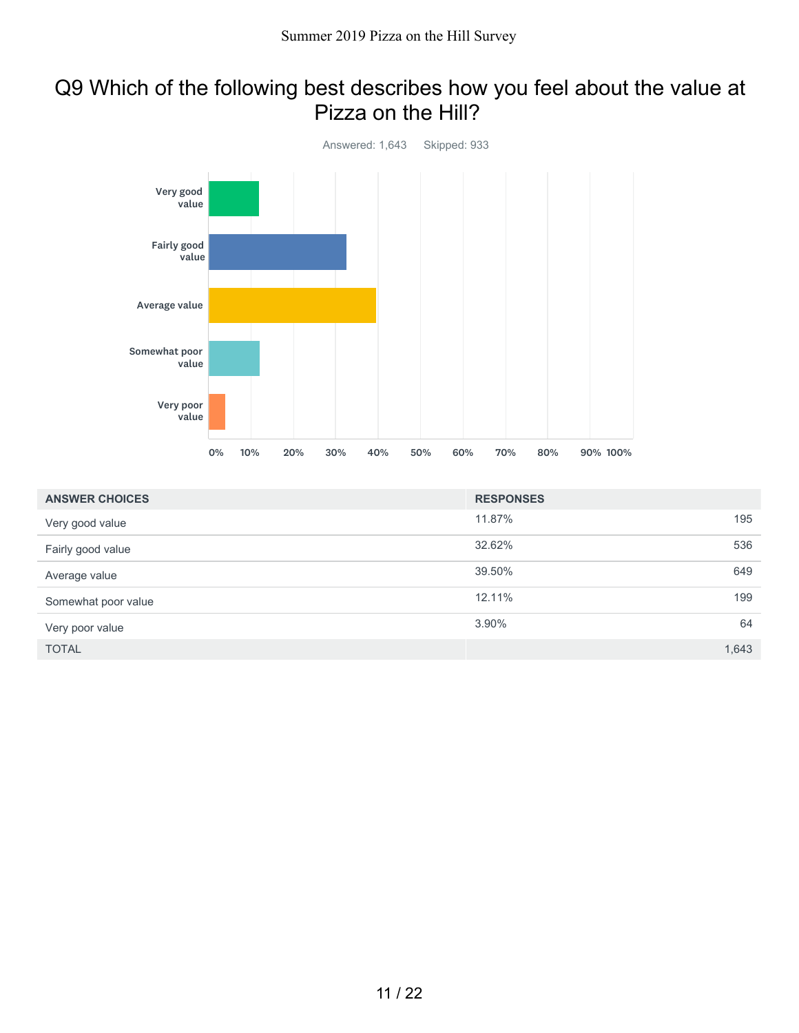#### Q9 Which of the following best describes how you feel about the value at Pizza on the Hill?



| <b>ANSWER CHOICES</b> | <b>RESPONSES</b> |       |
|-----------------------|------------------|-------|
| Very good value       | 11.87%           | 195   |
| Fairly good value     | 32.62%           | 536   |
| Average value         | 39.50%           | 649   |
| Somewhat poor value   | 12.11%           | 199   |
| Very poor value       | 3.90%            | 64    |
| <b>TOTAL</b>          |                  | 1,643 |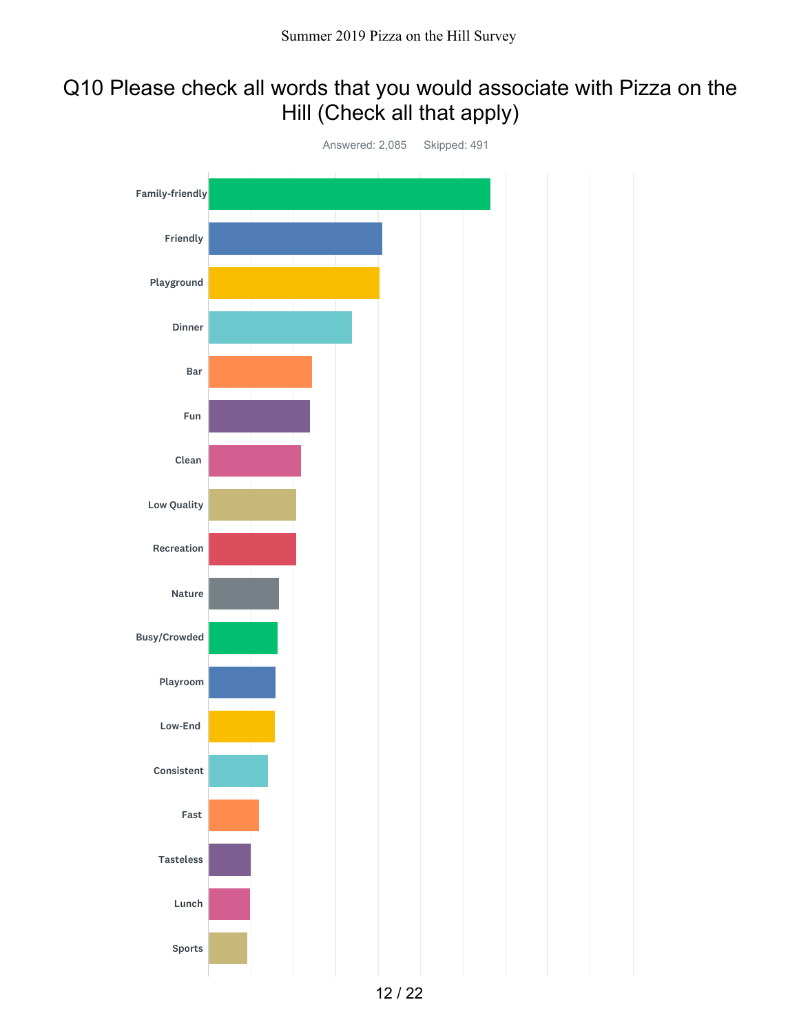## Q10 Please check all words that you would associate with Pizza on the Hill (Check all that apply)

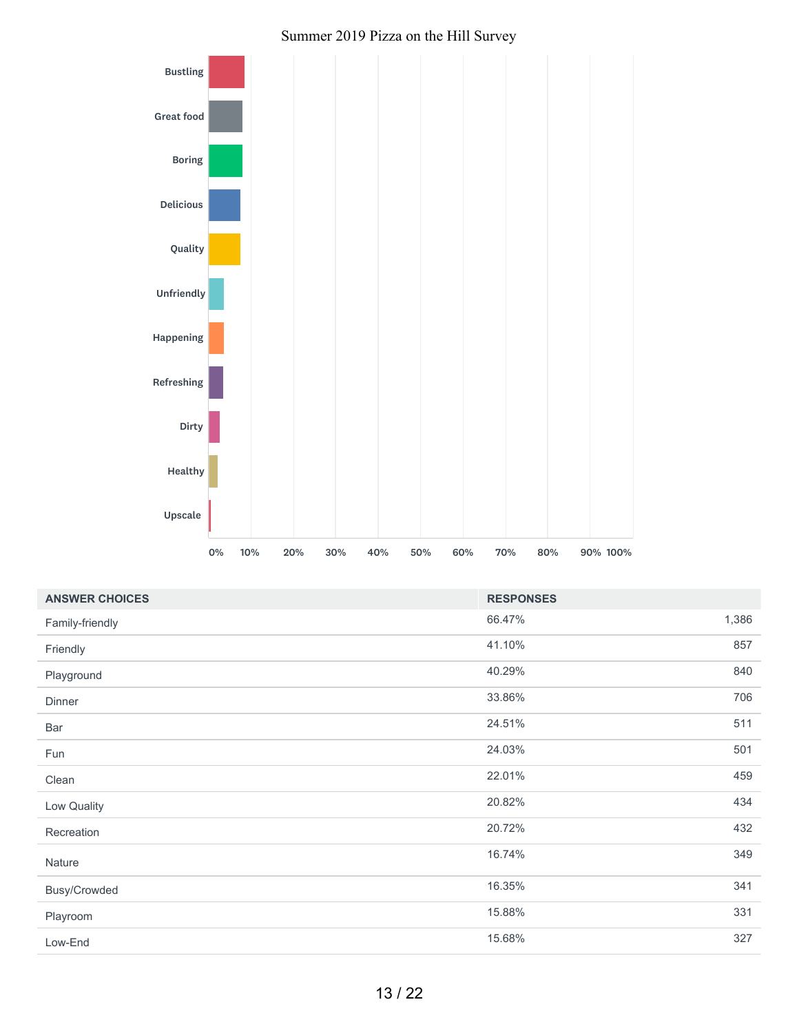#### Summer 2019 Pizza on the Hill Survey



| <b>ANSWER CHOICES</b> | <b>RESPONSES</b> |       |
|-----------------------|------------------|-------|
| Family-friendly       | 66.47%           | 1,386 |
| Friendly              | 41.10%           | 857   |
| Playground            | 40.29%           | 840   |
| Dinner                | 33.86%           | 706   |
| Bar                   | 24.51%           | 511   |
| Fun                   | 24.03%           | 501   |
| Clean                 | 22.01%           | 459   |
| Low Quality           | 20.82%           | 434   |
| Recreation            | 20.72%           | 432   |
| Nature                | 16.74%           | 349   |
| Busy/Crowded          | 16.35%           | 341   |
| Playroom              | 15.88%           | 331   |
| Low-End               | 15.68%           | 327   |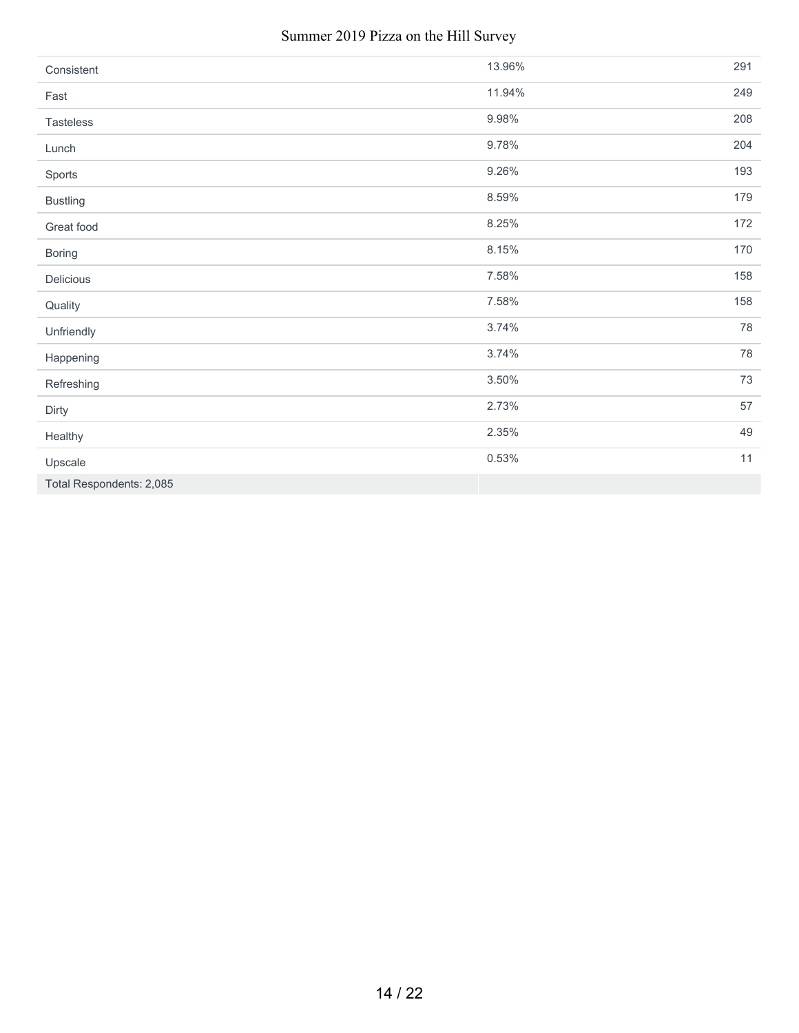#### Summer 2019 Pizza on the Hill Survey

| Consistent               | 13.96% | 291 |
|--------------------------|--------|-----|
| Fast                     | 11.94% | 249 |
| Tasteless                | 9.98%  | 208 |
| Lunch                    | 9.78%  | 204 |
| Sports                   | 9.26%  | 193 |
| <b>Bustling</b>          | 8.59%  | 179 |
| Great food               | 8.25%  | 172 |
| <b>Boring</b>            | 8.15%  | 170 |
| Delicious                | 7.58%  | 158 |
| Quality                  | 7.58%  | 158 |
| Unfriendly               | 3.74%  | 78  |
| Happening                | 3.74%  | 78  |
| Refreshing               | 3.50%  | 73  |
| Dirty                    | 2.73%  | 57  |
| Healthy                  | 2.35%  | 49  |
| Upscale                  | 0.53%  | 11  |
| Total Respondents: 2,085 |        |     |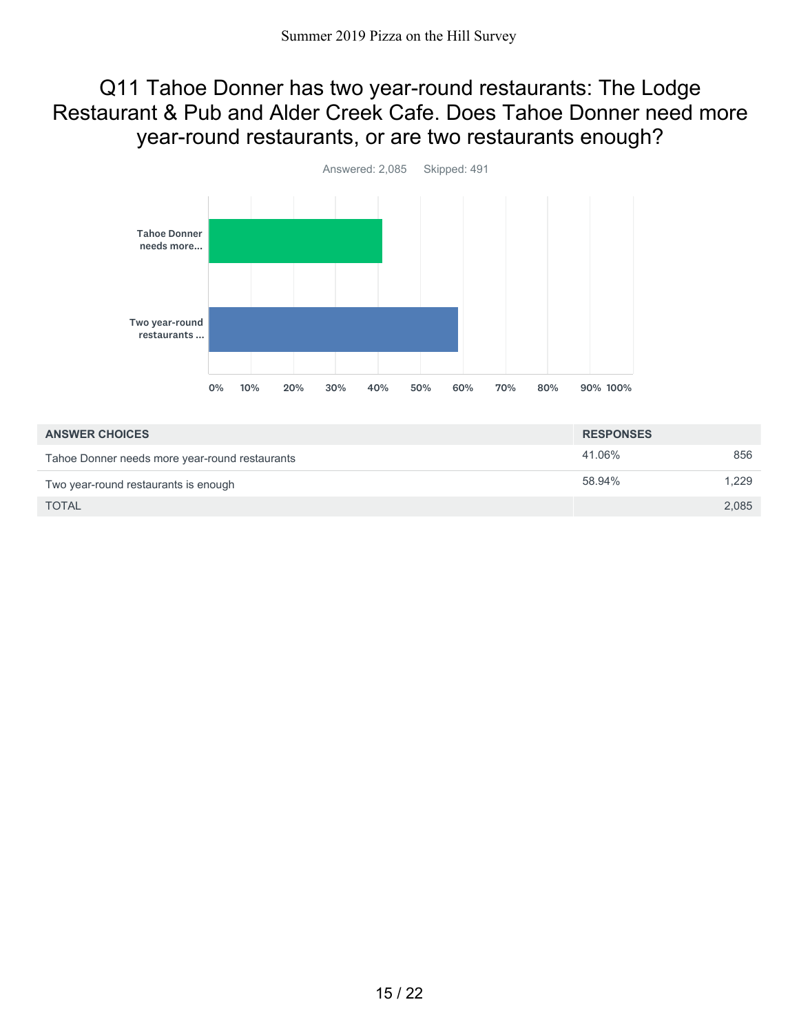#### Q11 Tahoe Donner has two year-round restaurants: The Lodge Restaurant & Pub and Alder Creek Cafe. Does Tahoe Donner need more year-round restaurants, or are two restaurants enough?



| <b>ANSWER CHOICES</b>                          | <b>RESPONSES</b> |       |
|------------------------------------------------|------------------|-------|
| Tahoe Donner needs more year-round restaurants | 41.06%           | 856   |
| Two year-round restaurants is enough           | 58.94%           | 1.229 |
| <b>TOTAL</b>                                   |                  | 2,085 |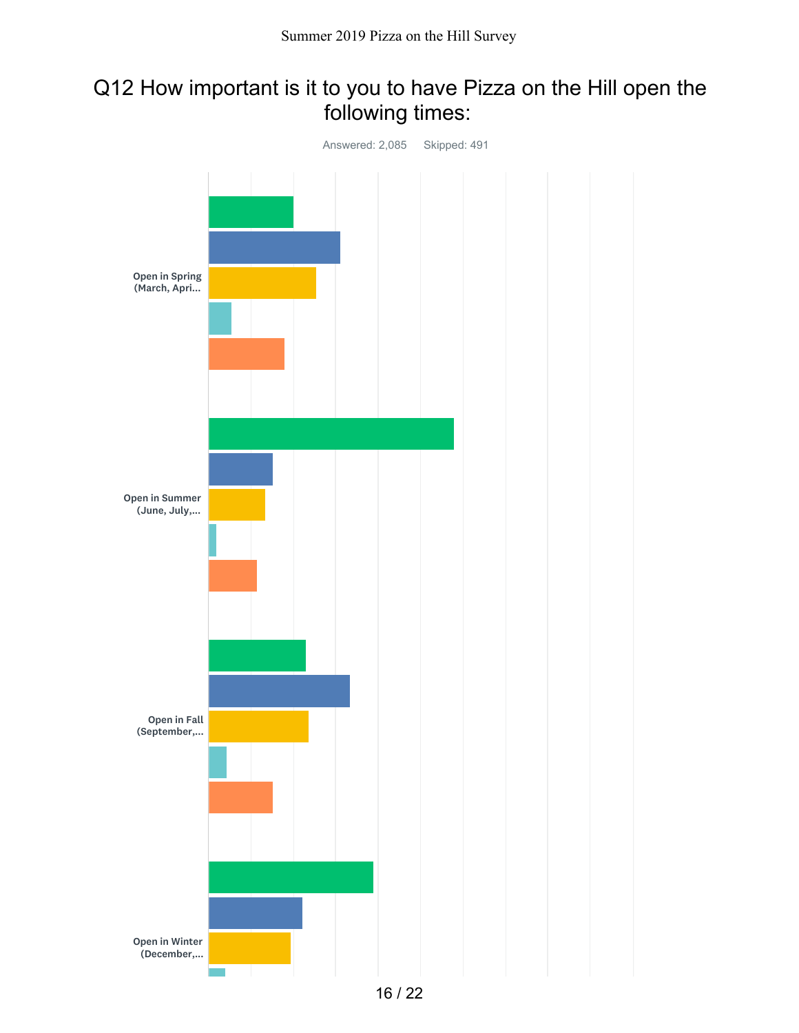## Q12 How important is it to you to have Pizza on the Hill open the following times:

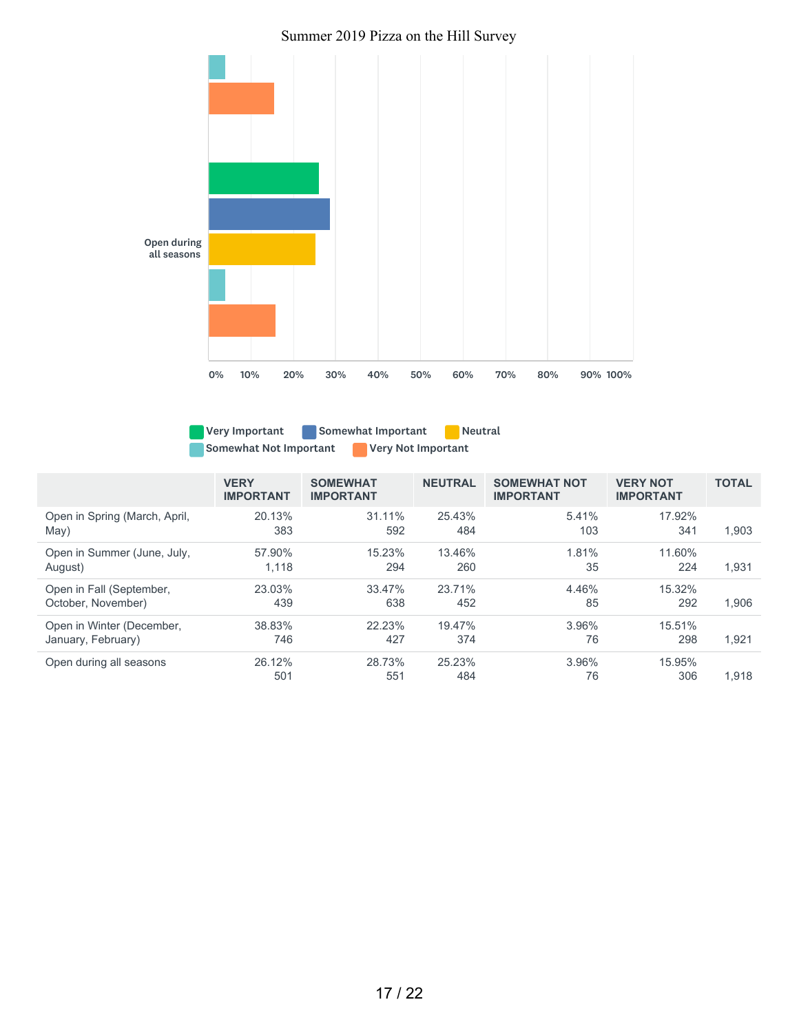



Very Important **Somewhat Important** Neutral Somewhat Not Important **Notify Not Important** 

|                               | <b>VERY</b><br><b>IMPORTANT</b> | <b>SOMEWHAT</b><br><b>IMPORTANT</b> | <b>NEUTRAL</b> | <b>SOMEWHAT NOT</b><br><b>IMPORTANT</b> | <b>VERY NOT</b><br><b>IMPORTANT</b> | <b>TOTAL</b> |
|-------------------------------|---------------------------------|-------------------------------------|----------------|-----------------------------------------|-------------------------------------|--------------|
| Open in Spring (March, April, | 20.13%                          | $31.11\%$                           | 25.43%         | 5.41%                                   | 17.92%                              | 1.903        |
| May)                          | 383                             | 592                                 | 484            | 103                                     | 341                                 |              |
| Open in Summer (June, July,   | 57.90%                          | 15.23%                              | 13.46%         | 1.81%                                   | 11.60%                              | 1,931        |
| August)                       | 1,118                           | 294                                 | 260            | 35                                      | 224                                 |              |
| Open in Fall (September,      | 23.03%                          | 33.47%                              | 23.71%         | 4.46%                                   | $15.32\%$                           | 1.906        |
| October, November)            | 439                             | 638                                 | 452            | 85                                      | 292                                 |              |
| Open in Winter (December,     | 38.83%                          | 22.23%                              | 19.47%         | 3.96%                                   | 15.51%                              | 1.921        |
| January, February)            | 746                             | 427                                 | 374            | 76                                      | 298                                 |              |
| Open during all seasons       | 26.12%<br>501                   | 28.73%<br>551                       | 25.23%<br>484  | 3.96%<br>76                             | 15.95%<br>306                       | 1.918        |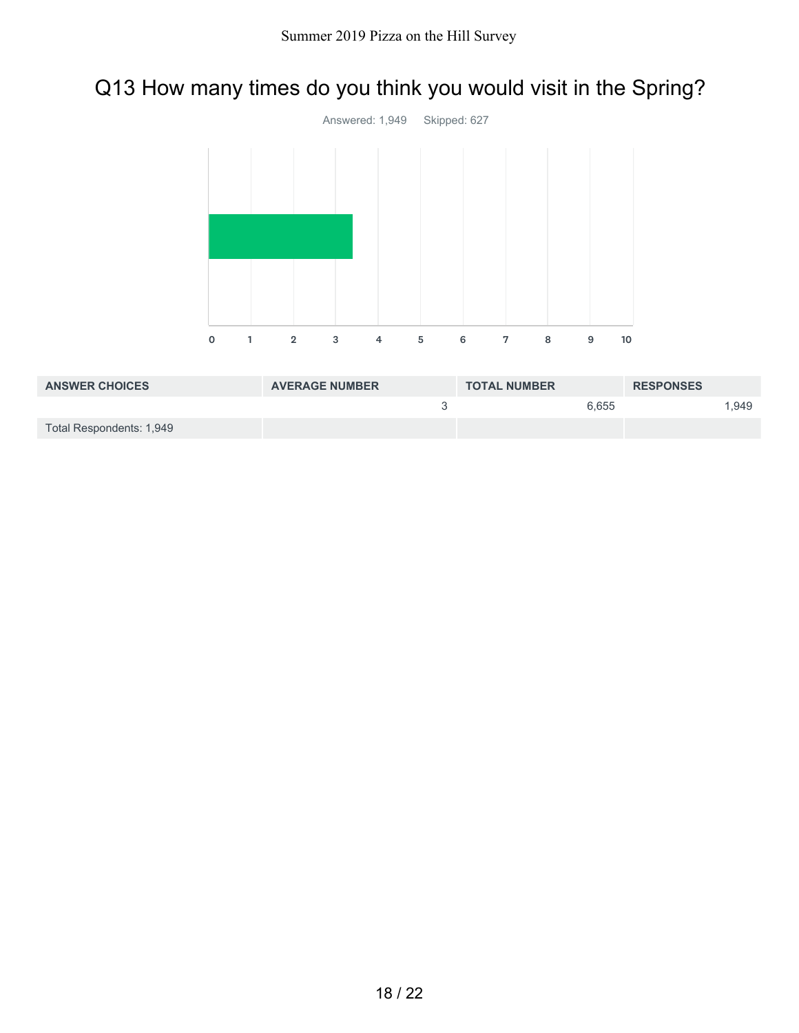# Q13 How many times do you think you would visit in the Spring?



| <b>ANSWER CHOICES</b>    | <b>AVERAGE NUMBER</b> | <b>TOTAL NUMBER</b> | <b>RESPONSES</b> |
|--------------------------|-----------------------|---------------------|------------------|
|                          |                       | 6.655               | .949             |
| Total Respondents: 1,949 |                       |                     |                  |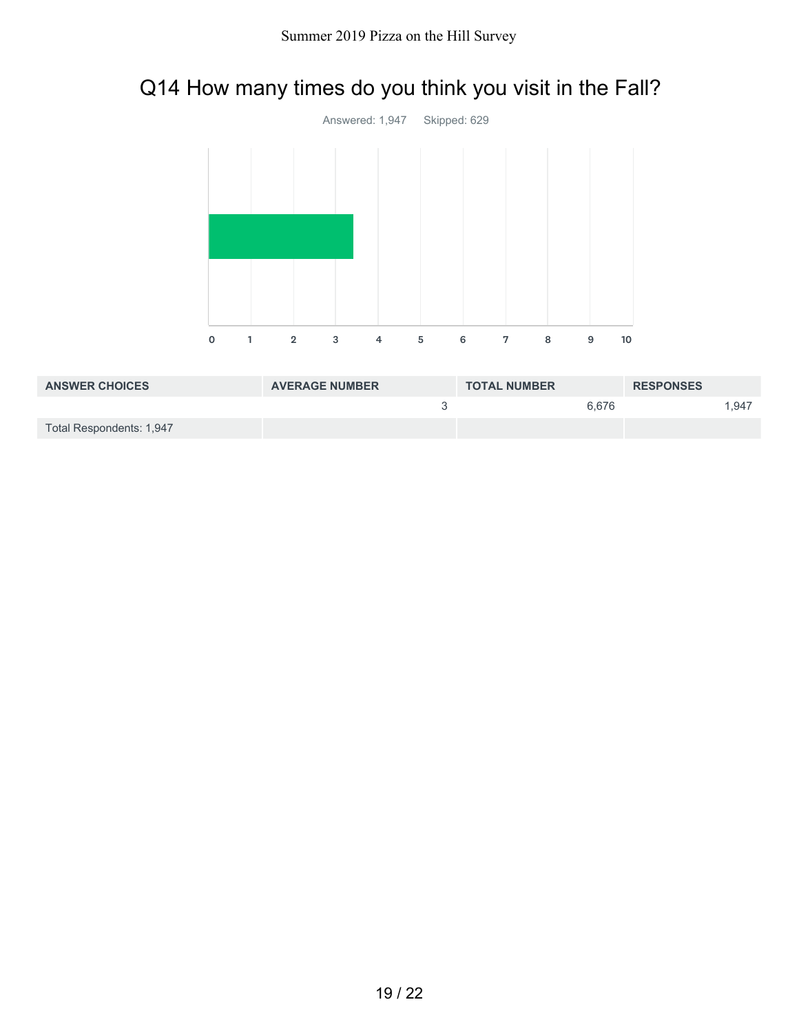# Q14 How many times do you think you visit in the Fall?



| <b>ANSWER CHOICES</b>    | <b>AVERAGE NUMBER</b> | <b>TOTAL NUMBER</b> | <b>RESPONSES</b> |
|--------------------------|-----------------------|---------------------|------------------|
|                          |                       | 6.676               | .947             |
| Total Respondents: 1,947 |                       |                     |                  |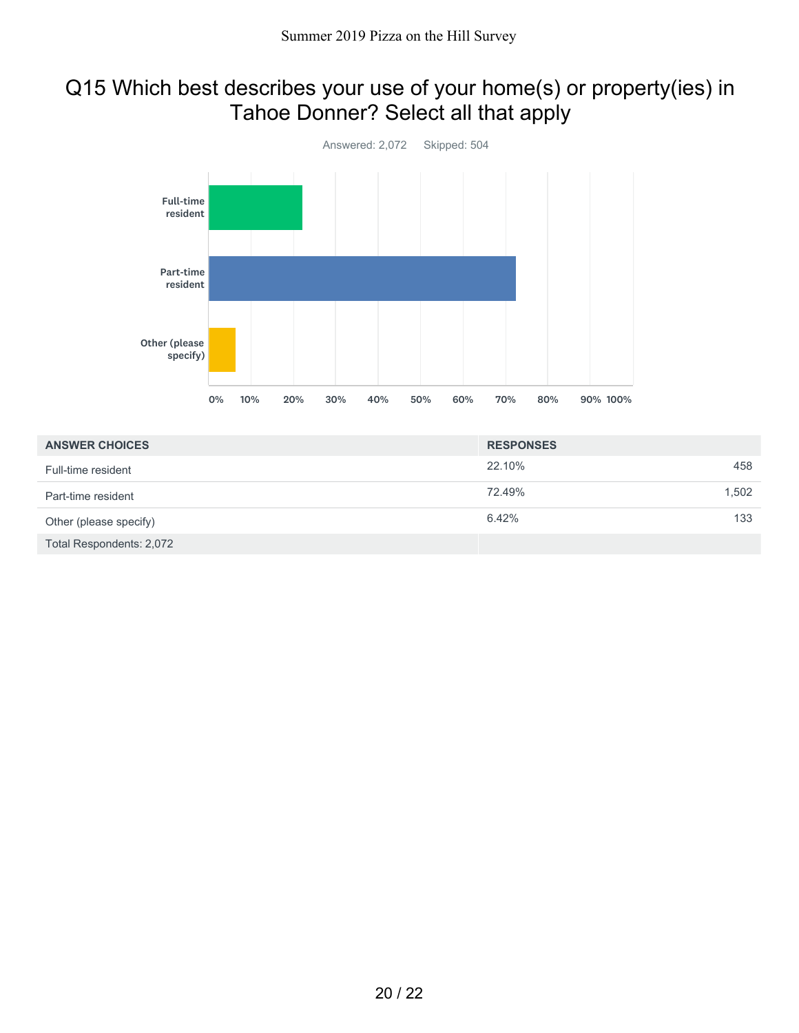### Q15 Which best describes your use of your home(s) or property(ies) in Tahoe Donner? Select all that apply



| <b>ANSWER CHOICES</b>    | <b>RESPONSES</b> |       |
|--------------------------|------------------|-------|
| Full-time resident       | 22.10%           | 458   |
| Part-time resident       | 72.49%           | 1.502 |
| Other (please specify)   | 6.42%            | 133   |
| Total Respondents: 2,072 |                  |       |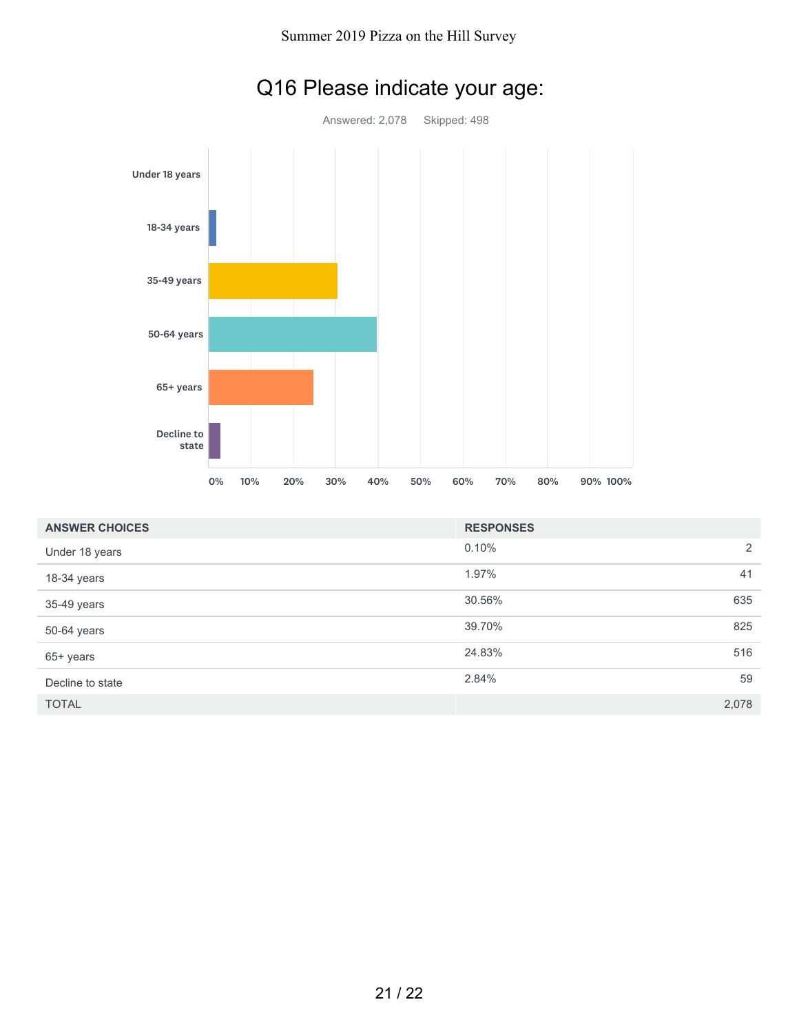

# Q16 Please indicate your age:

| <b>ANSWER CHOICES</b> | <b>RESPONSES</b> |       |
|-----------------------|------------------|-------|
| Under 18 years        | 0.10%            | 2     |
| 18-34 years           | 1.97%            | 41    |
| 35-49 years           | 30.56%           | 635   |
| 50-64 years           | 39.70%           | 825   |
| 65+ years             | 24.83%           | 516   |
| Decline to state      | 2.84%            | 59    |
| <b>TOTAL</b>          |                  | 2,078 |